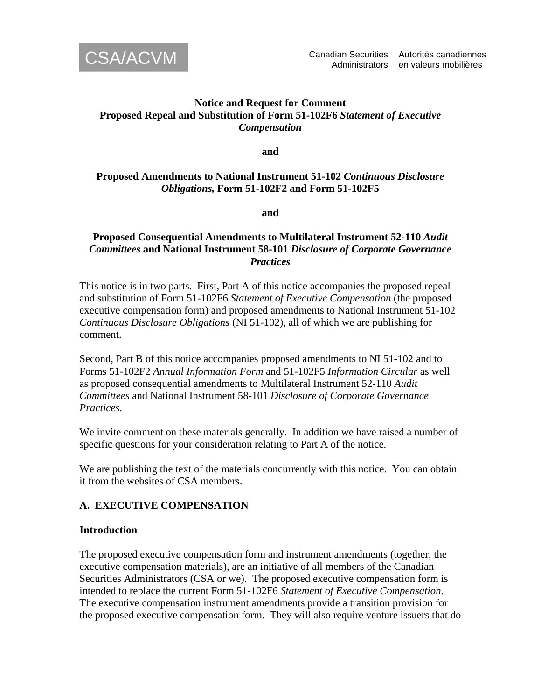

# **Notice and Request for Comment Proposed Repeal and Substitution of Form 51-102F6** *Statement of Executive Compensation*

**and** 

# **Proposed Amendments to National Instrument 51-102** *Continuous Disclosure Obligations,* **Form 51-102F2 and Form 51-102F5**

**and** 

# **Proposed Consequential Amendments to Multilateral Instrument 52-110** *Audit Committees* **and National Instrument 58-101** *Disclosure of Corporate Governance Practices*

This notice is in two parts. First, Part A of this notice accompanies the proposed repeal and substitution of Form 51-102F6 *Statement of Executive Compensation* (the proposed executive compensation form) and proposed amendments to National Instrument 51-102 *Continuous Disclosure Obligations* (NI 51-102), all of which we are publishing for comment.

Second, Part B of this notice accompanies proposed amendments to NI 51-102 and to Forms 51-102F2 *Annual Information Form* and 51-102F5 *Information Circular* as well as proposed consequential amendments to Multilateral Instrument 52-110 *Audit Committees* and National Instrument 58-101 *Disclosure of Corporate Governance Practices*.

We invite comment on these materials generally. In addition we have raised a number of specific questions for your consideration relating to Part A of the notice.

We are publishing the text of the materials concurrently with this notice. You can obtain it from the websites of CSA members.

# **A. EXECUTIVE COMPENSATION**

### **Introduction**

The proposed executive compensation form and instrument amendments (together, the executive compensation materials), are an initiative of all members of the Canadian Securities Administrators (CSA or we). The proposed executive compensation form is intended to replace the current Form 51-102F6 *Statement of Executive Compensation*. The executive compensation instrument amendments provide a transition provision for the proposed executive compensation form. They will also require venture issuers that do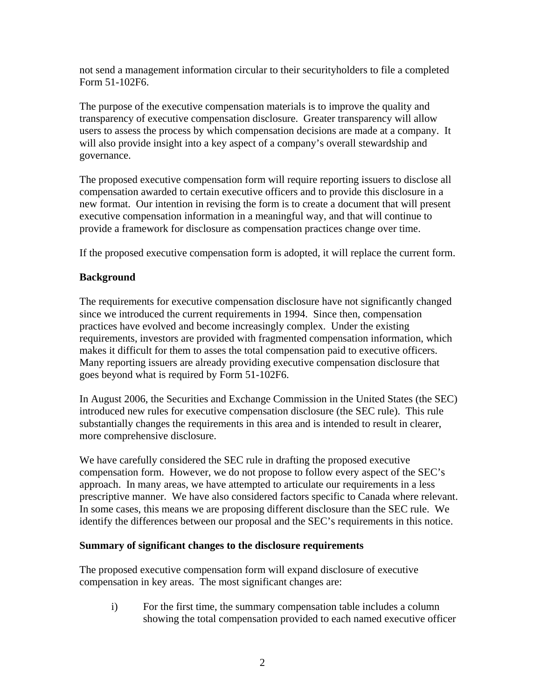not send a management information circular to their securityholders to file a completed Form 51-102F6.

The purpose of the executive compensation materials is to improve the quality and transparency of executive compensation disclosure. Greater transparency will allow users to assess the process by which compensation decisions are made at a company. It will also provide insight into a key aspect of a company's overall stewardship and governance.

The proposed executive compensation form will require reporting issuers to disclose all compensation awarded to certain executive officers and to provide this disclosure in a new format. Our intention in revising the form is to create a document that will present executive compensation information in a meaningful way, and that will continue to provide a framework for disclosure as compensation practices change over time.

If the proposed executive compensation form is adopted, it will replace the current form.

# **Background**

The requirements for executive compensation disclosure have not significantly changed since we introduced the current requirements in 1994. Since then, compensation practices have evolved and become increasingly complex. Under the existing requirements, investors are provided with fragmented compensation information, which makes it difficult for them to asses the total compensation paid to executive officers. Many reporting issuers are already providing executive compensation disclosure that goes beyond what is required by Form 51-102F6.

In August 2006, the Securities and Exchange Commission in the United States (the SEC) introduced new rules for executive compensation disclosure (the SEC rule). This rule substantially changes the requirements in this area and is intended to result in clearer, more comprehensive disclosure.

We have carefully considered the SEC rule in drafting the proposed executive compensation form. However, we do not propose to follow every aspect of the SEC's approach. In many areas, we have attempted to articulate our requirements in a less prescriptive manner. We have also considered factors specific to Canada where relevant. In some cases, this means we are proposing different disclosure than the SEC rule. We identify the differences between our proposal and the SEC's requirements in this notice.

### **Summary of significant changes to the disclosure requirements**

The proposed executive compensation form will expand disclosure of executive compensation in key areas. The most significant changes are:

i) For the first time, the summary compensation table includes a column showing the total compensation provided to each named executive officer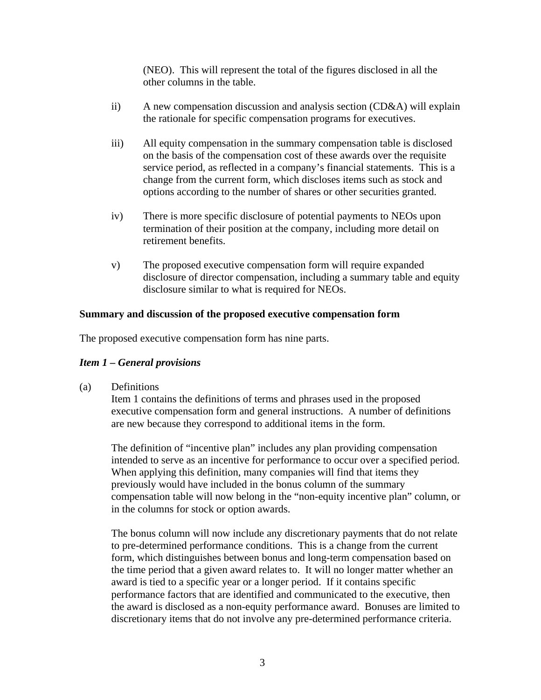(NEO). This will represent the total of the figures disclosed in all the other columns in the table.

- ii) A new compensation discussion and analysis section (CD&A) will explain the rationale for specific compensation programs for executives.
- iii) All equity compensation in the summary compensation table is disclosed on the basis of the compensation cost of these awards over the requisite service period, as reflected in a company's financial statements. This is a change from the current form, which discloses items such as stock and options according to the number of shares or other securities granted.
- iv) There is more specific disclosure of potential payments to NEOs upon termination of their position at the company, including more detail on retirement benefits.
- v) The proposed executive compensation form will require expanded disclosure of director compensation, including a summary table and equity disclosure similar to what is required for NEOs.

### **Summary and discussion of the proposed executive compensation form**

The proposed executive compensation form has nine parts.

### *Item 1 – General provisions*

(a) Definitions

Item 1 contains the definitions of terms and phrases used in the proposed executive compensation form and general instructions. A number of definitions are new because they correspond to additional items in the form.

The definition of "incentive plan" includes any plan providing compensation intended to serve as an incentive for performance to occur over a specified period. When applying this definition, many companies will find that items they previously would have included in the bonus column of the summary compensation table will now belong in the "non-equity incentive plan" column, or in the columns for stock or option awards.

The bonus column will now include any discretionary payments that do not relate to pre-determined performance conditions. This is a change from the current form, which distinguishes between bonus and long-term compensation based on the time period that a given award relates to. It will no longer matter whether an award is tied to a specific year or a longer period. If it contains specific performance factors that are identified and communicated to the executive, then the award is disclosed as a non-equity performance award. Bonuses are limited to discretionary items that do not involve any pre-determined performance criteria.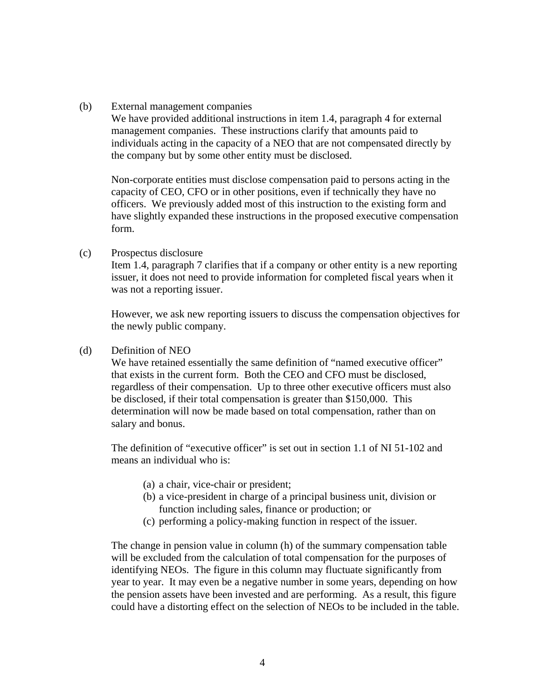#### (b) External management companies

We have provided additional instructions in item 1.4, paragraph 4 for external management companies. These instructions clarify that amounts paid to individuals acting in the capacity of a NEO that are not compensated directly by the company but by some other entity must be disclosed.

Non-corporate entities must disclose compensation paid to persons acting in the capacity of CEO, CFO or in other positions, even if technically they have no officers. We previously added most of this instruction to the existing form and have slightly expanded these instructions in the proposed executive compensation form.

(c) Prospectus disclosure

Item 1.4, paragraph 7 clarifies that if a company or other entity is a new reporting issuer, it does not need to provide information for completed fiscal years when it was not a reporting issuer.

However, we ask new reporting issuers to discuss the compensation objectives for the newly public company.

#### (d) Definition of NEO

We have retained essentially the same definition of "named executive officer" that exists in the current form. Both the CEO and CFO must be disclosed, regardless of their compensation. Up to three other executive officers must also be disclosed, if their total compensation is greater than \$150,000. This determination will now be made based on total compensation, rather than on salary and bonus.

The definition of "executive officer" is set out in section 1.1 of NI 51-102 and means an individual who is:

- (a) a chair, vice-chair or president;
- (b) a vice-president in charge of a principal business unit, division or function including sales, finance or production; or
- (c) performing a policy-making function in respect of the issuer.

The change in pension value in column (h) of the summary compensation table will be excluded from the calculation of total compensation for the purposes of identifying NEOs. The figure in this column may fluctuate significantly from year to year. It may even be a negative number in some years, depending on how the pension assets have been invested and are performing. As a result, this figure could have a distorting effect on the selection of NEOs to be included in the table.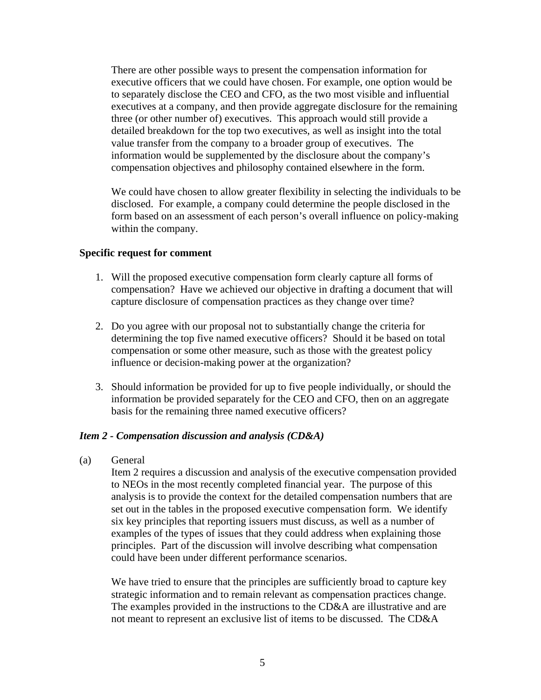There are other possible ways to present the compensation information for executive officers that we could have chosen. For example, one option would be to separately disclose the CEO and CFO, as the two most visible and influential executives at a company, and then provide aggregate disclosure for the remaining three (or other number of) executives. This approach would still provide a detailed breakdown for the top two executives, as well as insight into the total value transfer from the company to a broader group of executives. The information would be supplemented by the disclosure about the company's compensation objectives and philosophy contained elsewhere in the form.

We could have chosen to allow greater flexibility in selecting the individuals to be disclosed. For example, a company could determine the people disclosed in the form based on an assessment of each person's overall influence on policy-making within the company.

#### **Specific request for comment**

- 1. Will the proposed executive compensation form clearly capture all forms of compensation? Have we achieved our objective in drafting a document that will capture disclosure of compensation practices as they change over time?
- 2. Do you agree with our proposal not to substantially change the criteria for determining the top five named executive officers? Should it be based on total compensation or some other measure, such as those with the greatest policy influence or decision-making power at the organization?
- 3. Should information be provided for up to five people individually, or should the information be provided separately for the CEO and CFO, then on an aggregate basis for the remaining three named executive officers?

### *Item 2 - Compensation discussion and analysis (CD&A)*

(a) General

Item 2 requires a discussion and analysis of the executive compensation provided to NEOs in the most recently completed financial year. The purpose of this analysis is to provide the context for the detailed compensation numbers that are set out in the tables in the proposed executive compensation form. We identify six key principles that reporting issuers must discuss, as well as a number of examples of the types of issues that they could address when explaining those principles. Part of the discussion will involve describing what compensation could have been under different performance scenarios.

We have tried to ensure that the principles are sufficiently broad to capture key strategic information and to remain relevant as compensation practices change. The examples provided in the instructions to the CD&A are illustrative and are not meant to represent an exclusive list of items to be discussed. The CD&A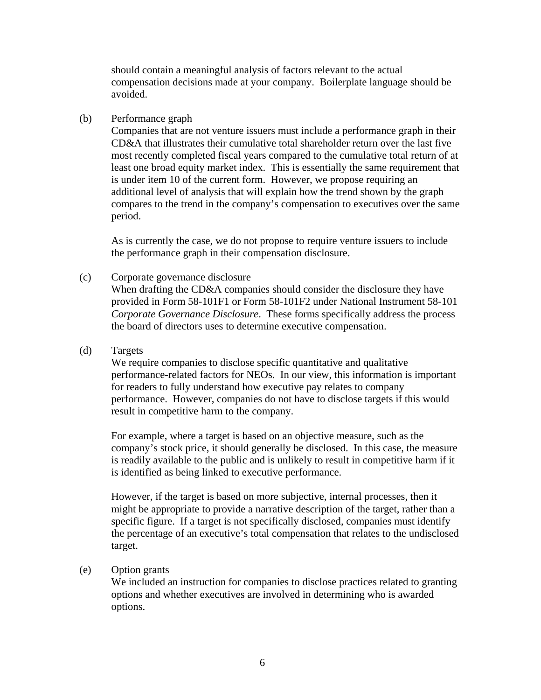should contain a meaningful analysis of factors relevant to the actual compensation decisions made at your company. Boilerplate language should be avoided.

#### (b) Performance graph

Companies that are not venture issuers must include a performance graph in their CD&A that illustrates their cumulative total shareholder return over the last five most recently completed fiscal years compared to the cumulative total return of at least one broad equity market index. This is essentially the same requirement that is under item 10 of the current form. However, we propose requiring an additional level of analysis that will explain how the trend shown by the graph compares to the trend in the company's compensation to executives over the same period.

As is currently the case, we do not propose to require venture issuers to include the performance graph in their compensation disclosure.

#### (c) Corporate governance disclosure

When drafting the CD&A companies should consider the disclosure they have provided in Form 58-101F1 or Form 58-101F2 under National Instrument 58-101 *Corporate Governance Disclosure*. These forms specifically address the process the board of directors uses to determine executive compensation.

(d) Targets

We require companies to disclose specific quantitative and qualitative performance-related factors for NEOs. In our view, this information is important for readers to fully understand how executive pay relates to company performance. However, companies do not have to disclose targets if this would result in competitive harm to the company.

For example, where a target is based on an objective measure, such as the company's stock price, it should generally be disclosed. In this case, the measure is readily available to the public and is unlikely to result in competitive harm if it is identified as being linked to executive performance.

However, if the target is based on more subjective, internal processes, then it might be appropriate to provide a narrative description of the target, rather than a specific figure. If a target is not specifically disclosed, companies must identify the percentage of an executive's total compensation that relates to the undisclosed target.

#### (e) Option grants

We included an instruction for companies to disclose practices related to granting options and whether executives are involved in determining who is awarded options.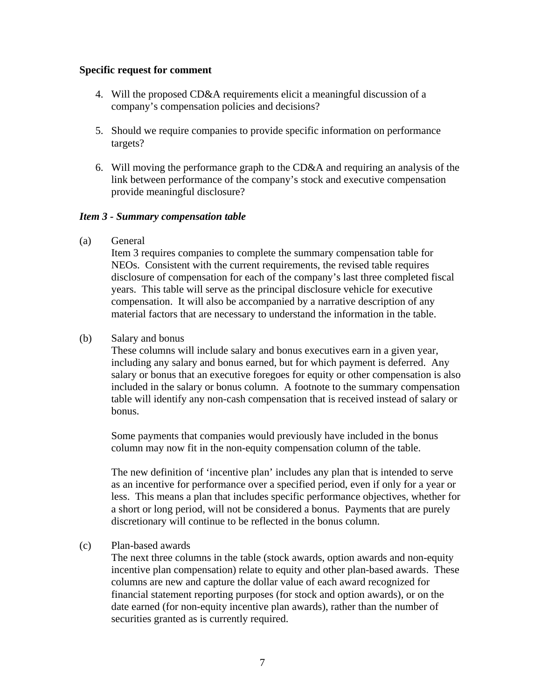#### **Specific request for comment**

- 4. Will the proposed CD&A requirements elicit a meaningful discussion of a company's compensation policies and decisions?
- 5. Should we require companies to provide specific information on performance targets?
- 6. Will moving the performance graph to the CD&A and requiring an analysis of the link between performance of the company's stock and executive compensation provide meaningful disclosure?

### *Item 3 - Summary compensation table*

(a) General

Item 3 requires companies to complete the summary compensation table for NEOs. Consistent with the current requirements, the revised table requires disclosure of compensation for each of the company's last three completed fiscal years. This table will serve as the principal disclosure vehicle for executive compensation. It will also be accompanied by a narrative description of any material factors that are necessary to understand the information in the table.

(b) Salary and bonus

These columns will include salary and bonus executives earn in a given year, including any salary and bonus earned, but for which payment is deferred. Any salary or bonus that an executive foregoes for equity or other compensation is also included in the salary or bonus column. A footnote to the summary compensation table will identify any non-cash compensation that is received instead of salary or bonus.

Some payments that companies would previously have included in the bonus column may now fit in the non-equity compensation column of the table.

The new definition of 'incentive plan' includes any plan that is intended to serve as an incentive for performance over a specified period, even if only for a year or less. This means a plan that includes specific performance objectives, whether for a short or long period, will not be considered a bonus. Payments that are purely discretionary will continue to be reflected in the bonus column.

#### (c) Plan-based awards

The next three columns in the table (stock awards, option awards and non-equity incentive plan compensation) relate to equity and other plan-based awards. These columns are new and capture the dollar value of each award recognized for financial statement reporting purposes (for stock and option awards), or on the date earned (for non-equity incentive plan awards), rather than the number of securities granted as is currently required.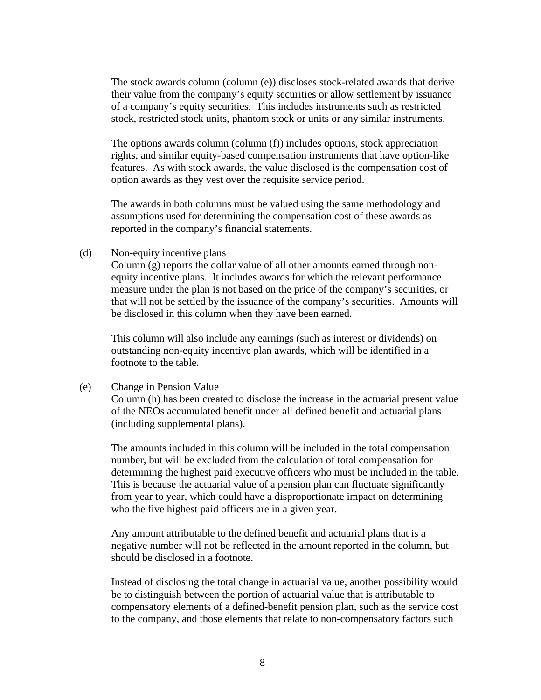The stock awards column (column (e)) discloses stock-related awards that derive their value from the company's equity securities or allow settlement by issuance of a company's equity securities. This includes instruments such as restricted stock, restricted stock units, phantom stock or units or any similar instruments.

The options awards column (column (f)) includes options, stock appreciation rights, and similar equity-based compensation instruments that have option-like features. As with stock awards, the value disclosed is the compensation cost of option awards as they vest over the requisite service period.

The awards in both columns must be valued using the same methodology and assumptions used for determining the compensation cost of these awards as reported in the company's financial statements.

(d) Non-equity incentive plans

Column (g) reports the dollar value of all other amounts earned through nonequity incentive plans. It includes awards for which the relevant performance measure under the plan is not based on the price of the company's securities, or that will not be settled by the issuance of the company's securities. Amounts will be disclosed in this column when they have been earned.

This column will also include any earnings (such as interest or dividends) on outstanding non-equity incentive plan awards, which will be identified in a footnote to the table.

#### (e) Change in Pension Value

Column (h) has been created to disclose the increase in the actuarial present value of the NEOs accumulated benefit under all defined benefit and actuarial plans (including supplemental plans).

The amounts included in this column will be included in the total compensation number, but will be excluded from the calculation of total compensation for determining the highest paid executive officers who must be included in the table. This is because the actuarial value of a pension plan can fluctuate significantly from year to year, which could have a disproportionate impact on determining who the five highest paid officers are in a given year.

Any amount attributable to the defined benefit and actuarial plans that is a negative number will not be reflected in the amount reported in the column, but should be disclosed in a footnote.

Instead of disclosing the total change in actuarial value, another possibility would be to distinguish between the portion of actuarial value that is attributable to compensatory elements of a defined-benefit pension plan, such as the service cost to the company, and those elements that relate to non-compensatory factors such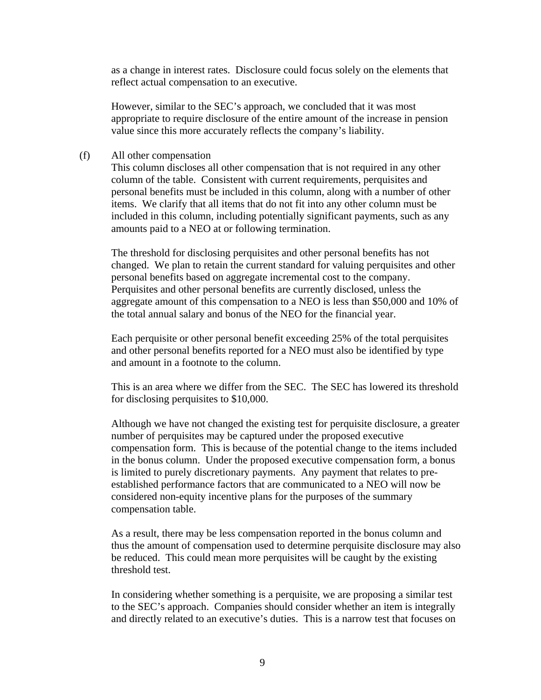as a change in interest rates. Disclosure could focus solely on the elements that reflect actual compensation to an executive.

However, similar to the SEC's approach, we concluded that it was most appropriate to require disclosure of the entire amount of the increase in pension value since this more accurately reflects the company's liability.

#### (f) All other compensation

This column discloses all other compensation that is not required in any other column of the table. Consistent with current requirements, perquisites and personal benefits must be included in this column, along with a number of other items. We clarify that all items that do not fit into any other column must be included in this column, including potentially significant payments, such as any amounts paid to a NEO at or following termination.

The threshold for disclosing perquisites and other personal benefits has not changed. We plan to retain the current standard for valuing perquisites and other personal benefits based on aggregate incremental cost to the company. Perquisites and other personal benefits are currently disclosed, unless the aggregate amount of this compensation to a NEO is less than \$50,000 and 10% of the total annual salary and bonus of the NEO for the financial year.

Each perquisite or other personal benefit exceeding 25% of the total perquisites and other personal benefits reported for a NEO must also be identified by type and amount in a footnote to the column.

This is an area where we differ from the SEC. The SEC has lowered its threshold for disclosing perquisites to \$10,000.

Although we have not changed the existing test for perquisite disclosure, a greater number of perquisites may be captured under the proposed executive compensation form. This is because of the potential change to the items included in the bonus column. Under the proposed executive compensation form, a bonus is limited to purely discretionary payments. Any payment that relates to preestablished performance factors that are communicated to a NEO will now be considered non-equity incentive plans for the purposes of the summary compensation table.

As a result, there may be less compensation reported in the bonus column and thus the amount of compensation used to determine perquisite disclosure may also be reduced. This could mean more perquisites will be caught by the existing threshold test.

In considering whether something is a perquisite, we are proposing a similar test to the SEC's approach. Companies should consider whether an item is integrally and directly related to an executive's duties. This is a narrow test that focuses on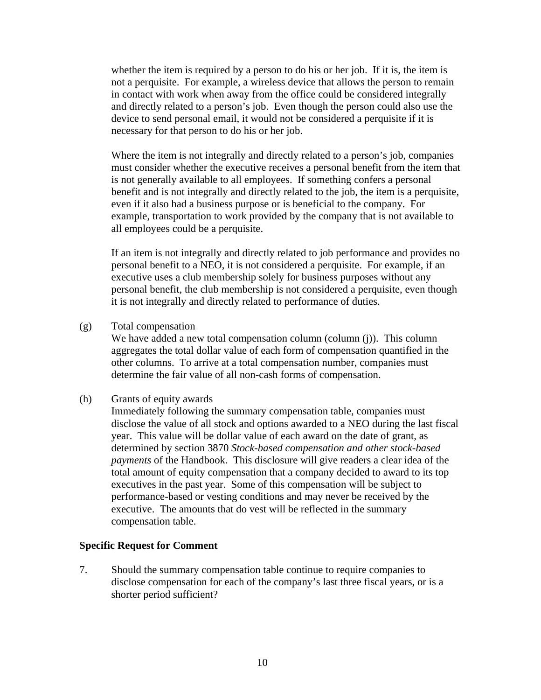whether the item is required by a person to do his or her job. If it is, the item is not a perquisite. For example, a wireless device that allows the person to remain in contact with work when away from the office could be considered integrally and directly related to a person's job. Even though the person could also use the device to send personal email, it would not be considered a perquisite if it is necessary for that person to do his or her job.

Where the item is not integrally and directly related to a person's job, companies must consider whether the executive receives a personal benefit from the item that is not generally available to all employees. If something confers a personal benefit and is not integrally and directly related to the job, the item is a perquisite, even if it also had a business purpose or is beneficial to the company. For example, transportation to work provided by the company that is not available to all employees could be a perquisite.

If an item is not integrally and directly related to job performance and provides no personal benefit to a NEO, it is not considered a perquisite. For example, if an executive uses a club membership solely for business purposes without any personal benefit, the club membership is not considered a perquisite, even though it is not integrally and directly related to performance of duties.

(g) Total compensation

We have added a new total compensation column (column (j)). This column aggregates the total dollar value of each form of compensation quantified in the other columns. To arrive at a total compensation number, companies must determine the fair value of all non-cash forms of compensation.

(h) Grants of equity awards

 Immediately following the summary compensation table, companies must disclose the value of all stock and options awarded to a NEO during the last fiscal year. This value will be dollar value of each award on the date of grant, as determined by section 3870 *Stock-based compensation and other stock-based payments* of the Handbook. This disclosure will give readers a clear idea of the total amount of equity compensation that a company decided to award to its top executives in the past year. Some of this compensation will be subject to performance-based or vesting conditions and may never be received by the executive. The amounts that do vest will be reflected in the summary compensation table.

#### **Specific Request for Comment**

7. Should the summary compensation table continue to require companies to disclose compensation for each of the company's last three fiscal years, or is a shorter period sufficient?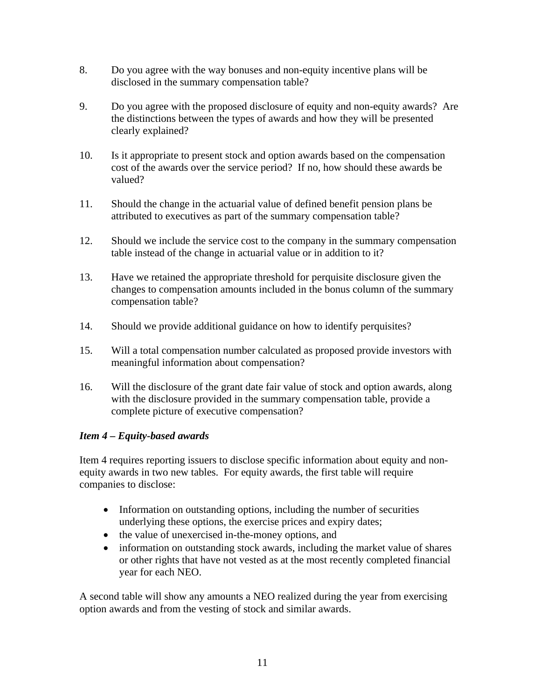- 8. Do you agree with the way bonuses and non-equity incentive plans will be disclosed in the summary compensation table?
- 9. Do you agree with the proposed disclosure of equity and non-equity awards? Are the distinctions between the types of awards and how they will be presented clearly explained?
- 10. Is it appropriate to present stock and option awards based on the compensation cost of the awards over the service period? If no, how should these awards be valued?
- 11. Should the change in the actuarial value of defined benefit pension plans be attributed to executives as part of the summary compensation table?
- 12. Should we include the service cost to the company in the summary compensation table instead of the change in actuarial value or in addition to it?
- 13. Have we retained the appropriate threshold for perquisite disclosure given the changes to compensation amounts included in the bonus column of the summary compensation table?
- 14. Should we provide additional guidance on how to identify perquisites?
- 15. Will a total compensation number calculated as proposed provide investors with meaningful information about compensation?
- 16. Will the disclosure of the grant date fair value of stock and option awards, along with the disclosure provided in the summary compensation table, provide a complete picture of executive compensation?

# *Item 4 – Equity-based awards*

Item 4 requires reporting issuers to disclose specific information about equity and nonequity awards in two new tables. For equity awards, the first table will require companies to disclose:

- Information on outstanding options, including the number of securities underlying these options, the exercise prices and expiry dates;
- the value of unexercised in-the-money options, and
- information on outstanding stock awards, including the market value of shares or other rights that have not vested as at the most recently completed financial year for each NEO.

A second table will show any amounts a NEO realized during the year from exercising option awards and from the vesting of stock and similar awards.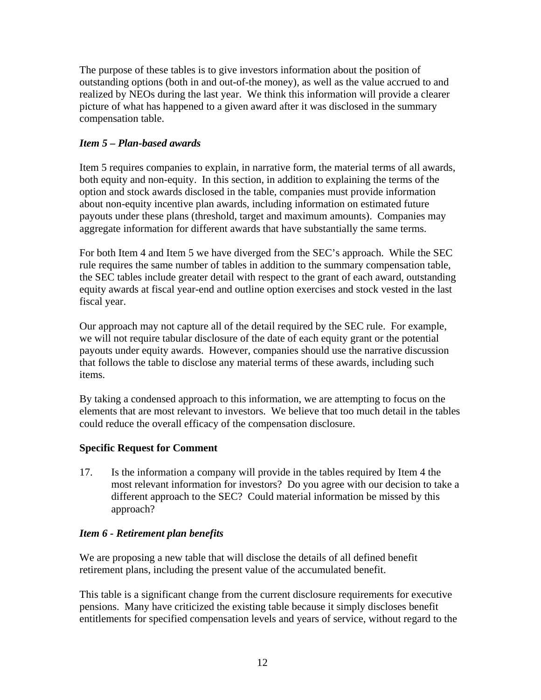The purpose of these tables is to give investors information about the position of outstanding options (both in and out-of-the money), as well as the value accrued to and realized by NEOs during the last year. We think this information will provide a clearer picture of what has happened to a given award after it was disclosed in the summary compensation table.

# *Item 5 – Plan-based awards*

Item 5 requires companies to explain, in narrative form, the material terms of all awards, both equity and non-equity. In this section, in addition to explaining the terms of the option and stock awards disclosed in the table, companies must provide information about non-equity incentive plan awards, including information on estimated future payouts under these plans (threshold, target and maximum amounts). Companies may aggregate information for different awards that have substantially the same terms.

For both Item 4 and Item 5 we have diverged from the SEC's approach. While the SEC rule requires the same number of tables in addition to the summary compensation table, the SEC tables include greater detail with respect to the grant of each award, outstanding equity awards at fiscal year-end and outline option exercises and stock vested in the last fiscal year.

Our approach may not capture all of the detail required by the SEC rule. For example, we will not require tabular disclosure of the date of each equity grant or the potential payouts under equity awards. However, companies should use the narrative discussion that follows the table to disclose any material terms of these awards, including such items.

By taking a condensed approach to this information, we are attempting to focus on the elements that are most relevant to investors. We believe that too much detail in the tables could reduce the overall efficacy of the compensation disclosure.

# **Specific Request for Comment**

17. Is the information a company will provide in the tables required by Item 4 the most relevant information for investors? Do you agree with our decision to take a different approach to the SEC? Could material information be missed by this approach?

# *Item 6 - Retirement plan benefits*

We are proposing a new table that will disclose the details of all defined benefit retirement plans, including the present value of the accumulated benefit.

This table is a significant change from the current disclosure requirements for executive pensions. Many have criticized the existing table because it simply discloses benefit entitlements for specified compensation levels and years of service, without regard to the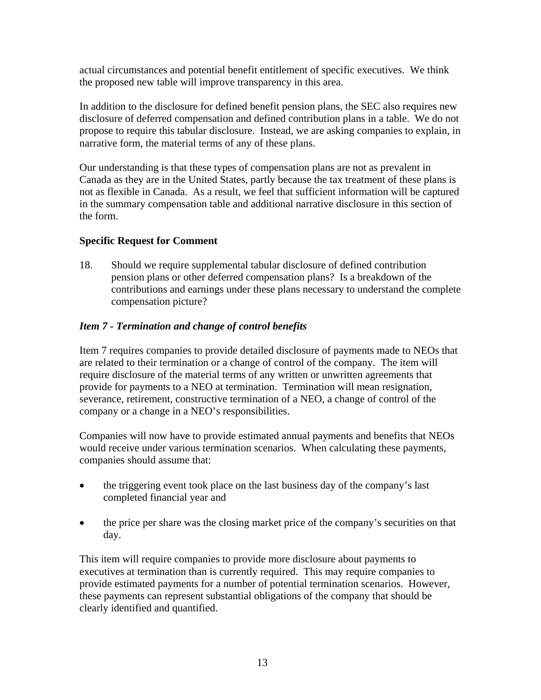actual circumstances and potential benefit entitlement of specific executives. We think the proposed new table will improve transparency in this area.

In addition to the disclosure for defined benefit pension plans, the SEC also requires new disclosure of deferred compensation and defined contribution plans in a table. We do not propose to require this tabular disclosure. Instead, we are asking companies to explain, in narrative form, the material terms of any of these plans.

Our understanding is that these types of compensation plans are not as prevalent in Canada as they are in the United States, partly because the tax treatment of these plans is not as flexible in Canada. As a result, we feel that sufficient information will be captured in the summary compensation table and additional narrative disclosure in this section of the form.

# **Specific Request for Comment**

18. Should we require supplemental tabular disclosure of defined contribution pension plans or other deferred compensation plans? Is a breakdown of the contributions and earnings under these plans necessary to understand the complete compensation picture?

# *Item 7 - Termination and change of control benefits*

Item 7 requires companies to provide detailed disclosure of payments made to NEOs that are related to their termination or a change of control of the company. The item will require disclosure of the material terms of any written or unwritten agreements that provide for payments to a NEO at termination. Termination will mean resignation, severance, retirement, constructive termination of a NEO, a change of control of the company or a change in a NEO's responsibilities.

Companies will now have to provide estimated annual payments and benefits that NEOs would receive under various termination scenarios. When calculating these payments, companies should assume that:

- the triggering event took place on the last business day of the company's last completed financial year and
- the price per share was the closing market price of the company's securities on that day.

This item will require companies to provide more disclosure about payments to executives at termination than is currently required. This may require companies to provide estimated payments for a number of potential termination scenarios. However, these payments can represent substantial obligations of the company that should be clearly identified and quantified.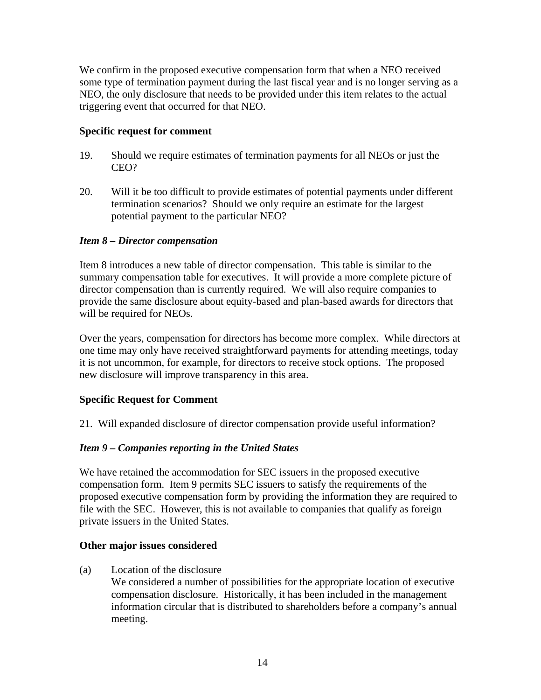We confirm in the proposed executive compensation form that when a NEO received some type of termination payment during the last fiscal year and is no longer serving as a NEO, the only disclosure that needs to be provided under this item relates to the actual triggering event that occurred for that NEO.

### **Specific request for comment**

- 19. Should we require estimates of termination payments for all NEOs or just the CEO?
- 20. Will it be too difficult to provide estimates of potential payments under different termination scenarios? Should we only require an estimate for the largest potential payment to the particular NEO?

# *Item 8 – Director compensation*

Item 8 introduces a new table of director compensation. This table is similar to the summary compensation table for executives. It will provide a more complete picture of director compensation than is currently required. We will also require companies to provide the same disclosure about equity-based and plan-based awards for directors that will be required for NEOs.

Over the years, compensation for directors has become more complex. While directors at one time may only have received straightforward payments for attending meetings, today it is not uncommon, for example, for directors to receive stock options. The proposed new disclosure will improve transparency in this area.

# **Specific Request for Comment**

21. Will expanded disclosure of director compensation provide useful information?

# *Item 9 – Companies reporting in the United States*

We have retained the accommodation for SEC issuers in the proposed executive compensation form. Item 9 permits SEC issuers to satisfy the requirements of the proposed executive compensation form by providing the information they are required to file with the SEC. However, this is not available to companies that qualify as foreign private issuers in the United States.

### **Other major issues considered**

(a) Location of the disclosure

We considered a number of possibilities for the appropriate location of executive compensation disclosure. Historically, it has been included in the management information circular that is distributed to shareholders before a company's annual meeting.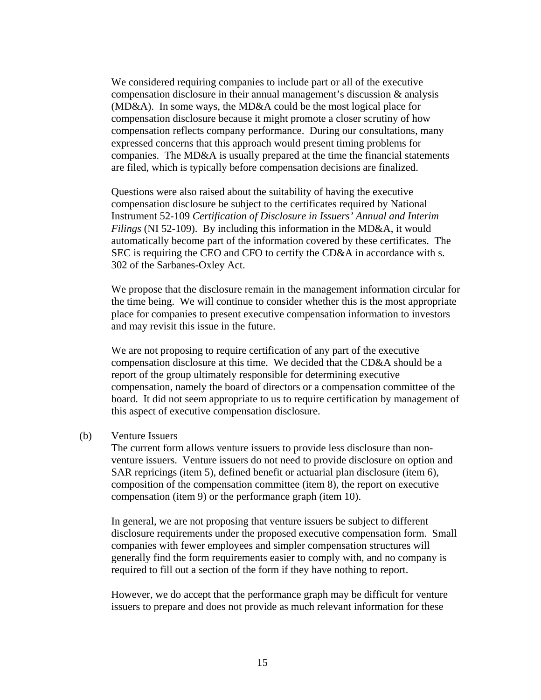We considered requiring companies to include part or all of the executive compensation disclosure in their annual management's discussion & analysis (MD&A). In some ways, the MD&A could be the most logical place for compensation disclosure because it might promote a closer scrutiny of how compensation reflects company performance. During our consultations, many expressed concerns that this approach would present timing problems for companies. The MD&A is usually prepared at the time the financial statements are filed, which is typically before compensation decisions are finalized.

Questions were also raised about the suitability of having the executive compensation disclosure be subject to the certificates required by National Instrument 52-109 *Certification of Disclosure in Issuers' Annual and Interim Filings* (NI 52-109). By including this information in the MD&A, it would automatically become part of the information covered by these certificates. The SEC is requiring the CEO and CFO to certify the CD&A in accordance with s. 302 of the Sarbanes-Oxley Act.

We propose that the disclosure remain in the management information circular for the time being. We will continue to consider whether this is the most appropriate place for companies to present executive compensation information to investors and may revisit this issue in the future.

We are not proposing to require certification of any part of the executive compensation disclosure at this time. We decided that the CD&A should be a report of the group ultimately responsible for determining executive compensation, namely the board of directors or a compensation committee of the board. It did not seem appropriate to us to require certification by management of this aspect of executive compensation disclosure.

#### (b) Venture Issuers

The current form allows venture issuers to provide less disclosure than nonventure issuers. Venture issuers do not need to provide disclosure on option and SAR repricings (item 5), defined benefit or actuarial plan disclosure (item 6), composition of the compensation committee (item 8), the report on executive compensation (item 9) or the performance graph (item 10).

In general, we are not proposing that venture issuers be subject to different disclosure requirements under the proposed executive compensation form. Small companies with fewer employees and simpler compensation structures will generally find the form requirements easier to comply with, and no company is required to fill out a section of the form if they have nothing to report.

However, we do accept that the performance graph may be difficult for venture issuers to prepare and does not provide as much relevant information for these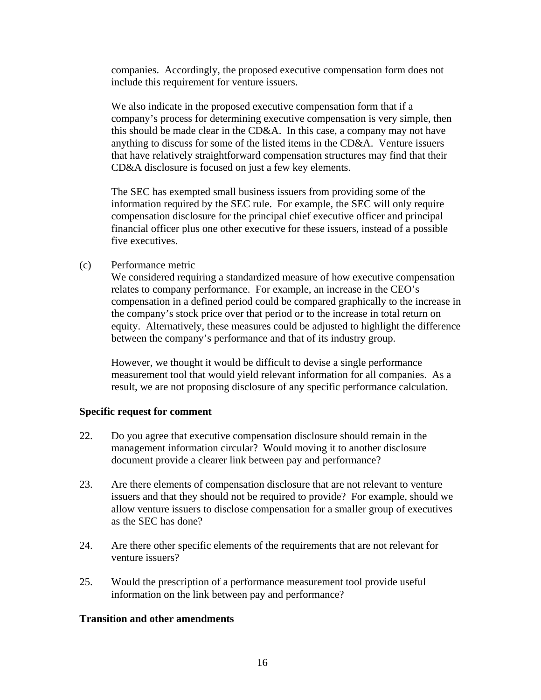companies. Accordingly, the proposed executive compensation form does not include this requirement for venture issuers.

 We also indicate in the proposed executive compensation form that if a company's process for determining executive compensation is very simple, then this should be made clear in the CD&A. In this case, a company may not have anything to discuss for some of the listed items in the CD&A. Venture issuers that have relatively straightforward compensation structures may find that their CD&A disclosure is focused on just a few key elements.

The SEC has exempted small business issuers from providing some of the information required by the SEC rule. For example, the SEC will only require compensation disclosure for the principal chief executive officer and principal financial officer plus one other executive for these issuers, instead of a possible five executives.

#### (c) Performance metric

We considered requiring a standardized measure of how executive compensation relates to company performance. For example, an increase in the CEO's compensation in a defined period could be compared graphically to the increase in the company's stock price over that period or to the increase in total return on equity. Alternatively, these measures could be adjusted to highlight the difference between the company's performance and that of its industry group.

However, we thought it would be difficult to devise a single performance measurement tool that would yield relevant information for all companies. As a result, we are not proposing disclosure of any specific performance calculation.

#### **Specific request for comment**

- 22. Do you agree that executive compensation disclosure should remain in the management information circular? Would moving it to another disclosure document provide a clearer link between pay and performance?
- 23. Are there elements of compensation disclosure that are not relevant to venture issuers and that they should not be required to provide? For example, should we allow venture issuers to disclose compensation for a smaller group of executives as the SEC has done?
- 24. Are there other specific elements of the requirements that are not relevant for venture issuers?
- 25. Would the prescription of a performance measurement tool provide useful information on the link between pay and performance?

### **Transition and other amendments**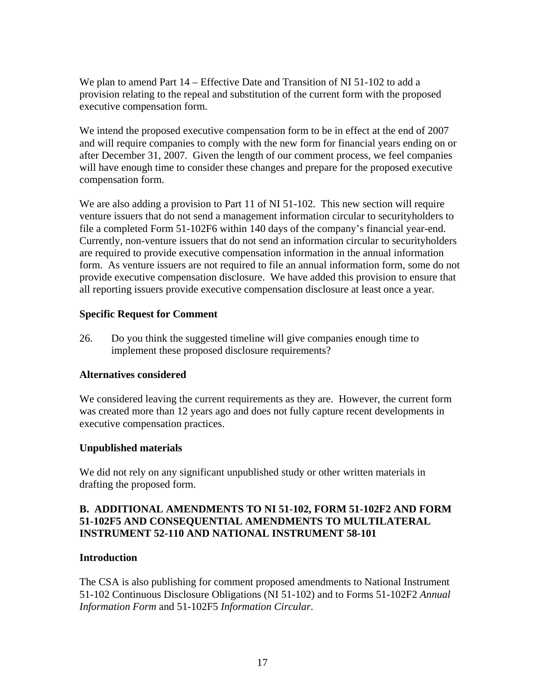We plan to amend Part 14 – Effective Date and Transition of NI 51-102 to add a provision relating to the repeal and substitution of the current form with the proposed executive compensation form.

We intend the proposed executive compensation form to be in effect at the end of 2007 and will require companies to comply with the new form for financial years ending on or after December 31, 2007. Given the length of our comment process, we feel companies will have enough time to consider these changes and prepare for the proposed executive compensation form.

We are also adding a provision to Part 11 of NI 51-102. This new section will require venture issuers that do not send a management information circular to securityholders to file a completed Form 51-102F6 within 140 days of the company's financial year-end. Currently, non-venture issuers that do not send an information circular to securityholders are required to provide executive compensation information in the annual information form. As venture issuers are not required to file an annual information form, some do not provide executive compensation disclosure. We have added this provision to ensure that all reporting issuers provide executive compensation disclosure at least once a year.

# **Specific Request for Comment**

26. Do you think the suggested timeline will give companies enough time to implement these proposed disclosure requirements?

# **Alternatives considered**

We considered leaving the current requirements as they are. However, the current form was created more than 12 years ago and does not fully capture recent developments in executive compensation practices.

### **Unpublished materials**

We did not rely on any significant unpublished study or other written materials in drafting the proposed form.

### **B. ADDITIONAL AMENDMENTS TO NI 51-102, FORM 51-102F2 AND FORM 51-102F5 AND CONSEQUENTIAL AMENDMENTS TO MULTILATERAL INSTRUMENT 52-110 AND NATIONAL INSTRUMENT 58-101**

### **Introduction**

The CSA is also publishing for comment proposed amendments to National Instrument 51-102 Continuous Disclosure Obligations (NI 51-102) and to Forms 51-102F2 *Annual Information Form* and 51-102F5 *Information Circular*.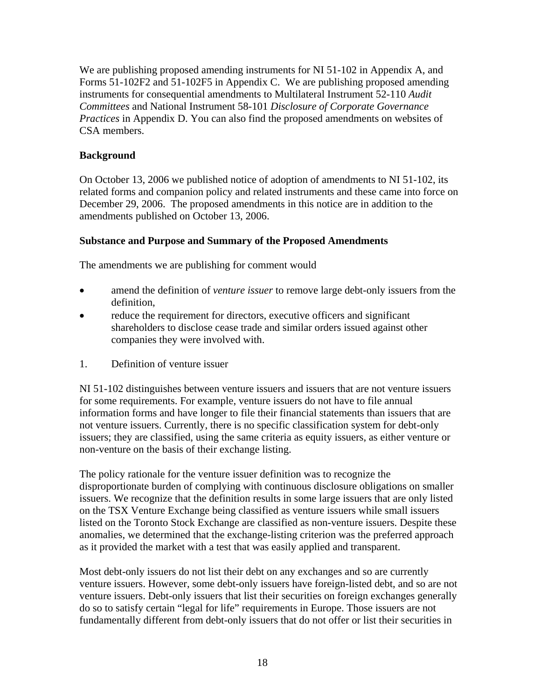We are publishing proposed amending instruments for NI 51-102 in Appendix A, and Forms 51-102F2 and 51-102F5 in Appendix C. We are publishing proposed amending instruments for consequential amendments to Multilateral Instrument 52-110 *Audit Committees* and National Instrument 58-101 *Disclosure of Corporate Governance Practices* in Appendix D. You can also find the proposed amendments on websites of CSA members.

# **Background**

On October 13, 2006 we published notice of adoption of amendments to NI 51-102, its related forms and companion policy and related instruments and these came into force on December 29, 2006. The proposed amendments in this notice are in addition to the amendments published on October 13, 2006.

# **Substance and Purpose and Summary of the Proposed Amendments**

The amendments we are publishing for comment would

- amend the definition of *venture issuer* to remove large debt-only issuers from the definition,
- reduce the requirement for directors, executive officers and significant shareholders to disclose cease trade and similar orders issued against other companies they were involved with.
- 1. Definition of venture issuer

NI 51-102 distinguishes between venture issuers and issuers that are not venture issuers for some requirements. For example, venture issuers do not have to file annual information forms and have longer to file their financial statements than issuers that are not venture issuers. Currently, there is no specific classification system for debt-only issuers; they are classified, using the same criteria as equity issuers, as either venture or non-venture on the basis of their exchange listing.

The policy rationale for the venture issuer definition was to recognize the disproportionate burden of complying with continuous disclosure obligations on smaller issuers. We recognize that the definition results in some large issuers that are only listed on the TSX Venture Exchange being classified as venture issuers while small issuers listed on the Toronto Stock Exchange are classified as non-venture issuers. Despite these anomalies, we determined that the exchange-listing criterion was the preferred approach as it provided the market with a test that was easily applied and transparent.

Most debt-only issuers do not list their debt on any exchanges and so are currently venture issuers. However, some debt-only issuers have foreign-listed debt, and so are not venture issuers. Debt-only issuers that list their securities on foreign exchanges generally do so to satisfy certain "legal for life" requirements in Europe. Those issuers are not fundamentally different from debt-only issuers that do not offer or list their securities in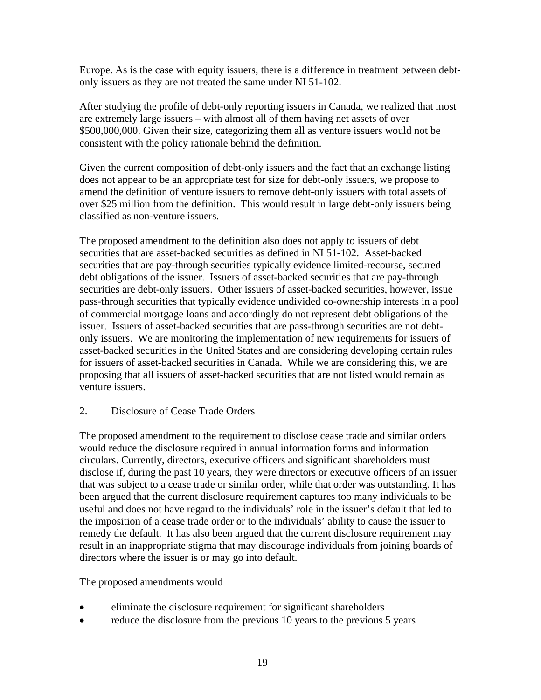Europe. As is the case with equity issuers, there is a difference in treatment between debtonly issuers as they are not treated the same under NI 51-102.

After studying the profile of debt-only reporting issuers in Canada, we realized that most are extremely large issuers – with almost all of them having net assets of over \$500,000,000. Given their size, categorizing them all as venture issuers would not be consistent with the policy rationale behind the definition.

Given the current composition of debt-only issuers and the fact that an exchange listing does not appear to be an appropriate test for size for debt-only issuers, we propose to amend the definition of venture issuers to remove debt-only issuers with total assets of over \$25 million from the definition. This would result in large debt-only issuers being classified as non-venture issuers.

The proposed amendment to the definition also does not apply to issuers of debt securities that are asset-backed securities as defined in NI 51-102. Asset-backed securities that are pay-through securities typically evidence limited-recourse, secured debt obligations of the issuer. Issuers of asset-backed securities that are pay-through securities are debt-only issuers. Other issuers of asset-backed securities, however, issue pass-through securities that typically evidence undivided co-ownership interests in a pool of commercial mortgage loans and accordingly do not represent debt obligations of the issuer. Issuers of asset-backed securities that are pass-through securities are not debtonly issuers. We are monitoring the implementation of new requirements for issuers of asset-backed securities in the United States and are considering developing certain rules for issuers of asset-backed securities in Canada. While we are considering this, we are proposing that all issuers of asset-backed securities that are not listed would remain as venture issuers.

# 2. Disclosure of Cease Trade Orders

The proposed amendment to the requirement to disclose cease trade and similar orders would reduce the disclosure required in annual information forms and information circulars. Currently, directors, executive officers and significant shareholders must disclose if, during the past 10 years, they were directors or executive officers of an issuer that was subject to a cease trade or similar order, while that order was outstanding. It has been argued that the current disclosure requirement captures too many individuals to be useful and does not have regard to the individuals' role in the issuer's default that led to the imposition of a cease trade order or to the individuals' ability to cause the issuer to remedy the default. It has also been argued that the current disclosure requirement may result in an inappropriate stigma that may discourage individuals from joining boards of directors where the issuer is or may go into default.

The proposed amendments would

- eliminate the disclosure requirement for significant shareholders
- reduce the disclosure from the previous 10 years to the previous 5 years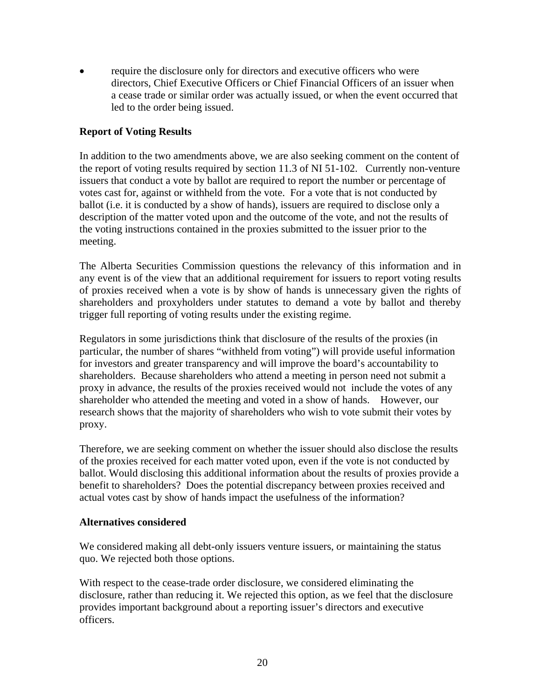require the disclosure only for directors and executive officers who were directors, Chief Executive Officers or Chief Financial Officers of an issuer when a cease trade or similar order was actually issued, or when the event occurred that led to the order being issued.

# **Report of Voting Results**

In addition to the two amendments above, we are also seeking comment on the content of the report of voting results required by section 11.3 of NI 51-102. Currently non-venture issuers that conduct a vote by ballot are required to report the number or percentage of votes cast for, against or withheld from the vote. For a vote that is not conducted by ballot (i.e. it is conducted by a show of hands), issuers are required to disclose only a description of the matter voted upon and the outcome of the vote, and not the results of the voting instructions contained in the proxies submitted to the issuer prior to the meeting.

The Alberta Securities Commission questions the relevancy of this information and in any event is of the view that an additional requirement for issuers to report voting results of proxies received when a vote is by show of hands is unnecessary given the rights of shareholders and proxyholders under statutes to demand a vote by ballot and thereby trigger full reporting of voting results under the existing regime.

Regulators in some jurisdictions think that disclosure of the results of the proxies (in particular, the number of shares "withheld from voting") will provide useful information for investors and greater transparency and will improve the board's accountability to shareholders. Because shareholders who attend a meeting in person need not submit a proxy in advance, the results of the proxies received would not include the votes of any shareholder who attended the meeting and voted in a show of hands. However, our research shows that the majority of shareholders who wish to vote submit their votes by proxy.

Therefore, we are seeking comment on whether the issuer should also disclose the results of the proxies received for each matter voted upon, even if the vote is not conducted by ballot. Would disclosing this additional information about the results of proxies provide a benefit to shareholders? Does the potential discrepancy between proxies received and actual votes cast by show of hands impact the usefulness of the information?

### **Alternatives considered**

We considered making all debt-only issuers venture issuers, or maintaining the status quo. We rejected both those options.

With respect to the cease-trade order disclosure, we considered eliminating the disclosure, rather than reducing it. We rejected this option, as we feel that the disclosure provides important background about a reporting issuer's directors and executive officers.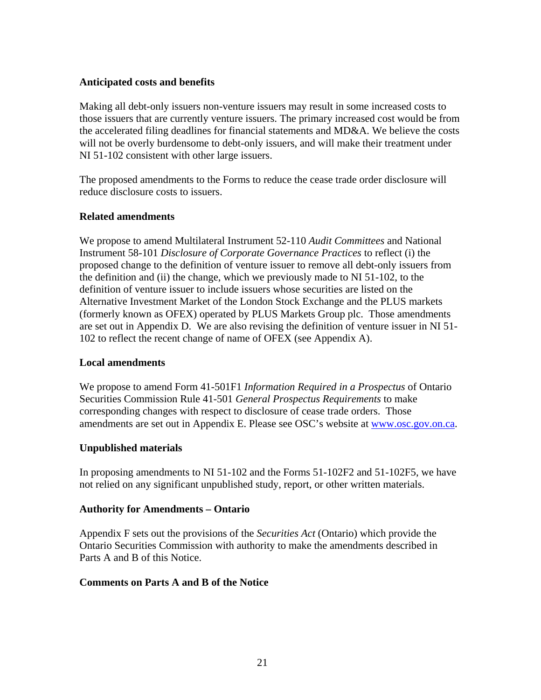### **Anticipated costs and benefits**

Making all debt-only issuers non-venture issuers may result in some increased costs to those issuers that are currently venture issuers. The primary increased cost would be from the accelerated filing deadlines for financial statements and MD&A. We believe the costs will not be overly burdensome to debt-only issuers, and will make their treatment under NI 51-102 consistent with other large issuers.

The proposed amendments to the Forms to reduce the cease trade order disclosure will reduce disclosure costs to issuers.

# **Related amendments**

We propose to amend Multilateral Instrument 52-110 *Audit Committees* and National Instrument 58-101 *Disclosure of Corporate Governance Practices* to reflect (i) the proposed change to the definition of venture issuer to remove all debt-only issuers from the definition and (ii) the change, which we previously made to NI 51-102, to the definition of venture issuer to include issuers whose securities are listed on the Alternative Investment Market of the London Stock Exchange and the PLUS markets (formerly known as OFEX) operated by PLUS Markets Group plc. Those amendments are set out in Appendix D. We are also revising the definition of venture issuer in NI 51- 102 to reflect the recent change of name of OFEX (see Appendix A).

# **Local amendments**

We propose to amend Form 41-501F1 *Information Required in a Prospectus* of Ontario Securities Commission Rule 41-501 *General Prospectus Requirements* to make corresponding changes with respect to disclosure of cease trade orders. Those amendments are set out in Appendix E. Please see OSC's website at [www.osc.gov.on.ca.](http://www.osc.gov.on.ca/)

# **Unpublished materials**

In proposing amendments to NI 51-102 and the Forms 51-102F2 and 51-102F5, we have not relied on any significant unpublished study, report, or other written materials.

# **Authority for Amendments – Ontario**

Appendix F sets out the provisions of the *Securities Act* (Ontario) which provide the Ontario Securities Commission with authority to make the amendments described in Parts A and B of this Notice.

### **Comments on Parts A and B of the Notice**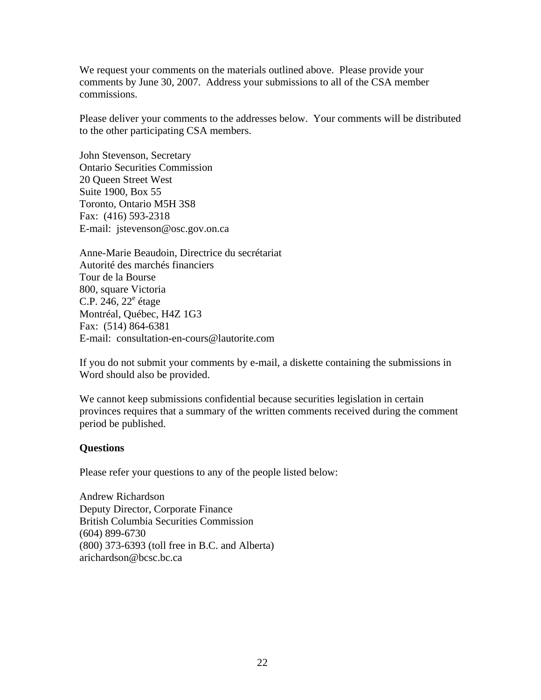We request your comments on the materials outlined above. Please provide your comments by June 30, 2007. Address your submissions to all of the CSA member commissions.

Please deliver your comments to the addresses below. Your comments will be distributed to the other participating CSA members.

John Stevenson, Secretary Ontario Securities Commission 20 Queen Street West Suite 1900, Box 55 Toronto, Ontario M5H 3S8 Fax: (416) 593-2318 E-mail: jstevenson@osc.gov.on.ca

Anne-Marie Beaudoin, Directrice du secrétariat Autorité des marchés financiers Tour de la Bourse 800, square Victoria C.P.  $246, 22^e$  étage Montréal, Québec, H4Z 1G3 Fax: (514) 864-6381 E-mail: consultation-en-cours@lautorite.com

If you do not submit your comments by e-mail, a diskette containing the submissions in Word should also be provided.

We cannot keep submissions confidential because securities legislation in certain provinces requires that a summary of the written comments received during the comment period be published.

#### **Questions**

Please refer your questions to any of the people listed below:

Andrew Richardson Deputy Director, Corporate Finance British Columbia Securities Commission (604) 899-6730 (800) 373-6393 (toll free in B.C. and Alberta) arichardson@bcsc.bc.ca